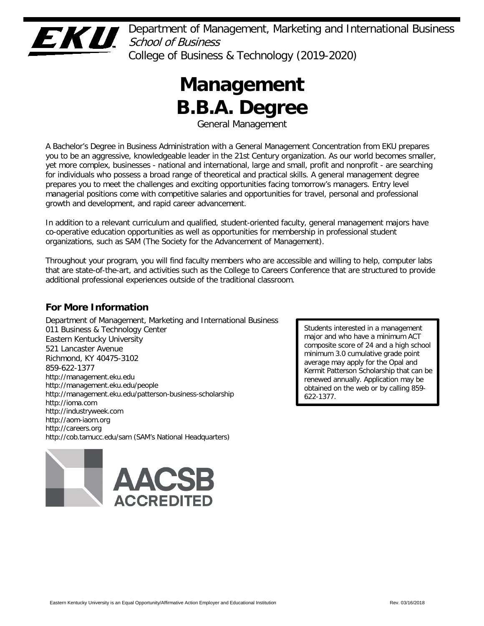

Department of Management, Marketing and International Business School of Business College of Business & Technology (2019-2020)

# **Management B.B.A. Degree**

General Management

A Bachelor's Degree in Business Administration with a General Management Concentration from EKU prepares you to be an aggressive, knowledgeable leader in the 21st Century organization. As our world becomes smaller, yet more complex, businesses - national and international, large and small, profit and nonprofit - are searching for individuals who possess a broad range of theoretical and practical skills. A general management degree prepares you to meet the challenges and exciting opportunities facing tomorrow's managers. Entry level managerial positions come with competitive salaries and opportunities for travel, personal and professional growth and development, and rapid career advancement.

In addition to a relevant curriculum and qualified, student-oriented faculty, general management majors have co-operative education opportunities as well as opportunities for membership in professional student organizations, such as SAM (The Society for the Advancement of Management).

Throughout your program, you will find faculty members who are accessible and willing to help, computer labs that are state-of-the-art, and activities such as the College to Careers Conference that are structured to provide additional professional experiences outside of the traditional classroom.

# **For More Information**

Department of Management, Marketing and International Business 011 Business & Technology Center Eastern Kentucky University 521 Lancaster Avenue Richmond, KY 40475-3102 859-622-1377 http://management.eku.edu http://management.eku.edu/people http://management.eku.edu/patterson-business-scholarship http://ioma.com http://industryweek.com http://aom-iaom.org http://careers.org http://cob.tamucc.edu/sam (SAM's National Headquarters)



Students interested in a management major and who have a minimum ACT composite score of 24 and a high school minimum 3.0 cumulative grade point average may apply for the Opal and Kermit Patterson Scholarship that can be renewed annually. Application may be obtained on the web or by calling 859- 622-1377.